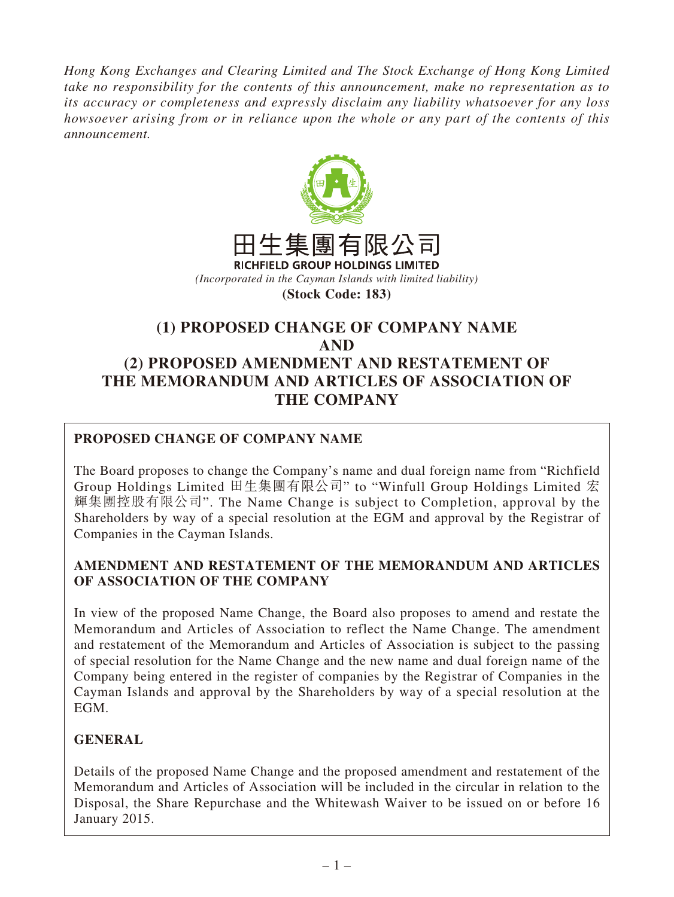*Hong Kong Exchanges and Clearing Limited and The Stock Exchange of Hong Kong Limited take no responsibility for the contents of this announcement, make no representation as to its accuracy or completeness and expressly disclaim any liability whatsoever for any loss howsoever arising from or in reliance upon the whole or any part of the contents of this announcement.*



**(Stock Code: 183)**

# **(1) PROPOSED CHANGE OF COMPANY NAME AND (2) PROPOSED AMENDMENT AND RESTATEMENT OF THE MEMORANDUM AND ARTICLES OF ASSOCIATION OF THE COMPANY**

## **PROPOSED CHANGE OF COMPANY NAME**

The Board proposes to change the Company's name and dual foreign name from "Richfield Group Holdings Limited 田生集團有限公司" to "Winfull Group Holdings Limited 宏 輝集團控股有限公司". The Name Change is subject to Completion, approval by the Shareholders by way of a special resolution at the EGM and approval by the Registrar of Companies in the Cayman Islands.

#### **AMENDMENT AND RESTATEMENT OF THE MEMORANDUM AND ARTICLES OF ASSOCIATION OF THE COMPANY**

In view of the proposed Name Change, the Board also proposes to amend and restate the Memorandum and Articles of Association to reflect the Name Change. The amendment and restatement of the Memorandum and Articles of Association is subject to the passing of special resolution for the Name Change and the new name and dual foreign name of the Company being entered in the register of companies by the Registrar of Companies in the Cayman Islands and approval by the Shareholders by way of a special resolution at the EGM.

### **GENERAL**

Details of the proposed Name Change and the proposed amendment and restatement of the Memorandum and Articles of Association will be included in the circular in relation to the Disposal, the Share Repurchase and the Whitewash Waiver to be issued on or before 16 January 2015.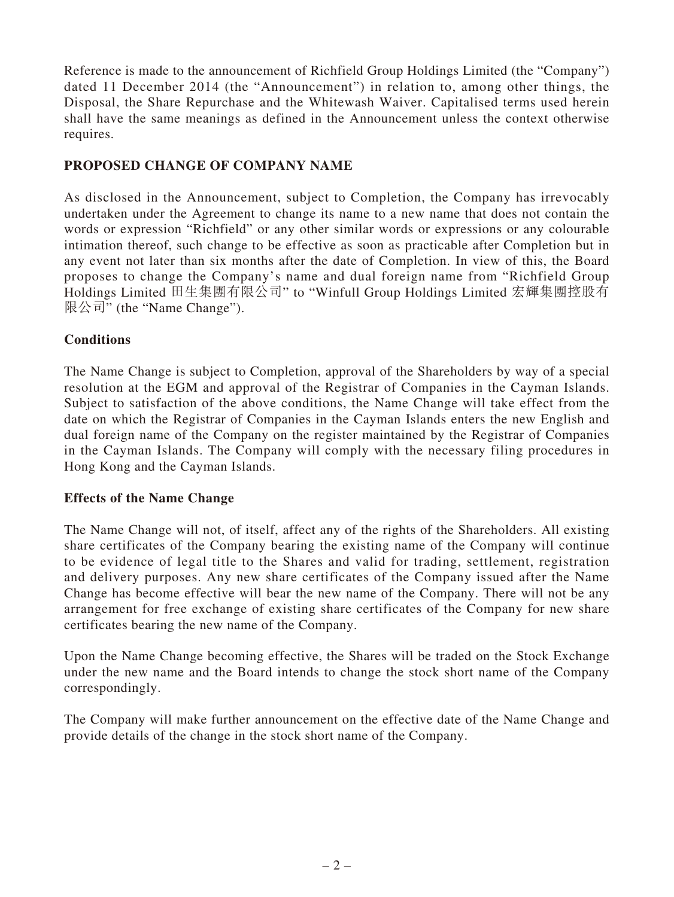Reference is made to the announcement of Richfield Group Holdings Limited (the "Company") dated 11 December 2014 (the "Announcement") in relation to, among other things, the Disposal, the Share Repurchase and the Whitewash Waiver. Capitalised terms used herein shall have the same meanings as defined in the Announcement unless the context otherwise requires.

#### **PROPOSED CHANGE OF COMPANY NAME**

As disclosed in the Announcement, subject to Completion, the Company has irrevocably undertaken under the Agreement to change its name to a new name that does not contain the words or expression "Richfield" or any other similar words or expressions or any colourable intimation thereof, such change to be effective as soon as practicable after Completion but in any event not later than six months after the date of Completion. In view of this, the Board proposes to change the Company's name and dual foreign name from "Richfield Group Holdings Limited 田生集團有限公司" to "Winfull Group Holdings Limited 宏輝集團控股有 限公司" (the "Name Change").

#### **Conditions**

The Name Change is subject to Completion, approval of the Shareholders by way of a special resolution at the EGM and approval of the Registrar of Companies in the Cayman Islands. Subject to satisfaction of the above conditions, the Name Change will take effect from the date on which the Registrar of Companies in the Cayman Islands enters the new English and dual foreign name of the Company on the register maintained by the Registrar of Companies in the Cayman Islands. The Company will comply with the necessary filing procedures in Hong Kong and the Cayman Islands.

#### **Effects of the Name Change**

The Name Change will not, of itself, affect any of the rights of the Shareholders. All existing share certificates of the Company bearing the existing name of the Company will continue to be evidence of legal title to the Shares and valid for trading, settlement, registration and delivery purposes. Any new share certificates of the Company issued after the Name Change has become effective will bear the new name of the Company. There will not be any arrangement for free exchange of existing share certificates of the Company for new share certificates bearing the new name of the Company.

Upon the Name Change becoming effective, the Shares will be traded on the Stock Exchange under the new name and the Board intends to change the stock short name of the Company correspondingly.

The Company will make further announcement on the effective date of the Name Change and provide details of the change in the stock short name of the Company.